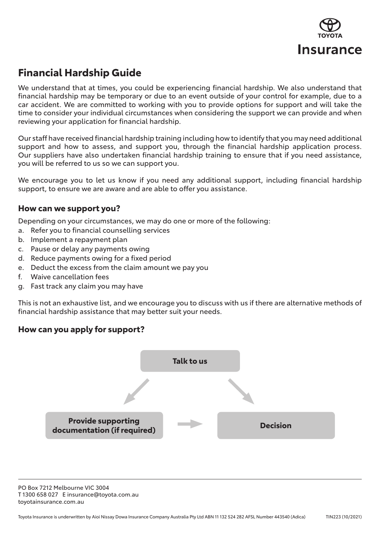

## **Financial Hardship Guide**

We understand that at times, you could be experiencing financial hardship. We also understand that financial hardship may be temporary or due to an event outside of your control for example, due to a car accident. We are committed to working with you to provide options for support and will take the time to consider your individual circumstances when considering the support we can provide and when reviewing your application for financial hardship.

Our staff have received financial hardship training including how to identify that you may need additional support and how to assess, and support you, through the financial hardship application process. Our suppliers have also undertaken financial hardship training to ensure that if you need assistance, you will be referred to us so we can support you.

We encourage you to let us know if you need any additional support, including financial hardship support, to ensure we are aware and are able to offer you assistance.

### **How can we support you?**

Depending on your circumstances, we may do one or more of the following:

- a. Refer you to financial counselling services
- b. Implement a repayment plan
- c. Pause or delay any payments owing
- d. Reduce payments owing for a fixed period
- e. Deduct the excess from the claim amount we pay you
- f. Waive cancellation fees
- g. Fast track any claim you may have

This is not an exhaustive list, and we encourage you to discuss with us if there are alternative methods of financial hardship assistance that may better suit your needs.

## **How can you apply for support?**



PO Box 7212 Melbourne VIC 3004 T 1300 658 027 E insurance@toyota.com.au toyotainsurance.com.au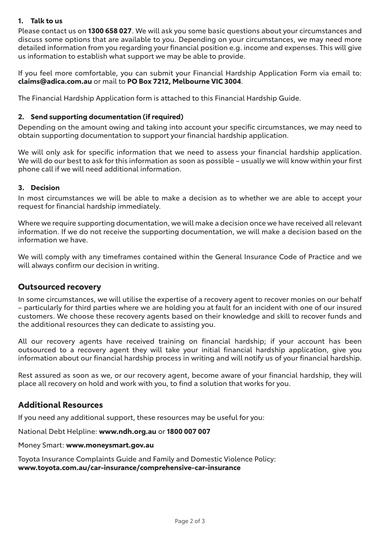#### **1. Talk to us**

Please contact us on **1300 658 027**. We will ask you some basic questions about your circumstances and discuss some options that are available to you. Depending on your circumstances, we may need more detailed information from you regarding your financial position e.g. income and expenses. This will give us information to establish what support we may be able to provide.

If you feel more comfortable, you can submit your Financial Hardship Application Form via email to: **claims@adica.com.au** or mail to **PO Box 7212, Melbourne VIC 3004**.

The Financial Hardship Application form is attached to this Financial Hardship Guide.

#### **2. Send supporting documentation (if required)**

Depending on the amount owing and taking into account your specific circumstances, we may need to obtain supporting documentation to support your financial hardship application.

We will only ask for specific information that we need to assess your financial hardship application. We will do our best to ask for this information as soon as possible – usually we will know within your first phone call if we will need additional information.

#### **3. Decision**

In most circumstances we will be able to make a decision as to whether we are able to accept your request for financial hardship immediately.

Where we require supporting documentation, we will make a decision once we have received all relevant information. If we do not receive the supporting documentation, we will make a decision based on the information we have.

We will comply with any timeframes contained within the General Insurance Code of Practice and we will always confirm our decision in writing.

#### **Outsourced recovery**

In some circumstances, we will utilise the expertise of a recovery agent to recover monies on our behalf – particularly for third parties where we are holding you at fault for an incident with one of our insured customers. We choose these recovery agents based on their knowledge and skill to recover funds and the additional resources they can dedicate to assisting you.

All our recovery agents have received training on financial hardship; if your account has been outsourced to a recovery agent they will take your initial financial hardship application, give you information about our financial hardship process in writing and will notify us of your financial hardship.

Rest assured as soon as we, or our recovery agent, become aware of your financial hardship, they will place all recovery on hold and work with you, to find a solution that works for you.

### **Additional Resources**

If you need any additional support, these resources may be useful for you:

National Debt Helpline: **www.ndh.org.au** or **1800 007 007**

Money Smart: **www.moneysmart.gov.au**

Toyota Insurance Complaints Guide and Family and Domestic Violence Policy: **www.toyota.com.au/car-insurance/comprehensive-car-insurance**